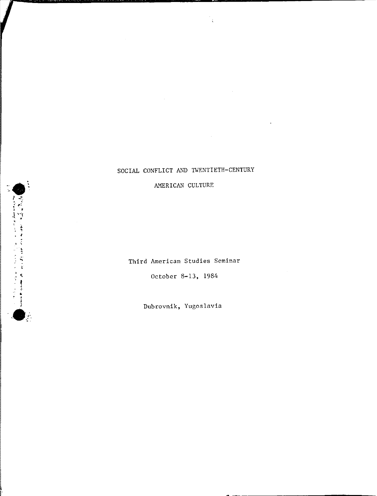# SOCIAL CONFLICT AND TWENTIETH-CENTURY

AMERICAN CULTURE

Third American Studies Seminar

October 8-13, 1984

Dubrovnik, Yugoslavia

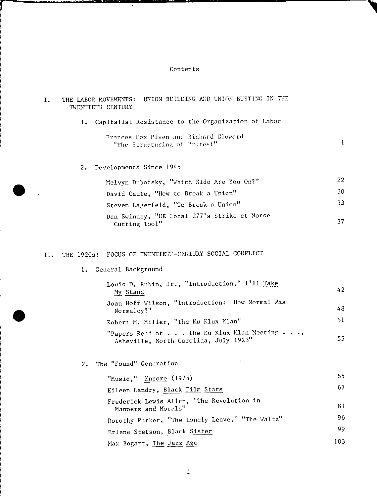## Contents

 $\mathcal{L}^{\text{max}}_{\text{max}}$ 

| Ι.  | UNION BUILDING AND UNION BUSTING IN THE<br>THE LABOR MOVEMENTS:<br>TWENTILTH CENTURY |                                                                                              |              |  |
|-----|--------------------------------------------------------------------------------------|----------------------------------------------------------------------------------------------|--------------|--|
|     | 1.                                                                                   | Capitalist Resistance to the Organization of Labor                                           |              |  |
|     |                                                                                      | Frances Fox Piven and Richard Cloward<br>"The Structuring of Protest"                        | $\mathbf{1}$ |  |
|     | 2.                                                                                   | Developments Since 1945                                                                      |              |  |
|     |                                                                                      | Melvyn Dubofsky, "Which Side Are You On?"                                                    | 22           |  |
|     |                                                                                      | David Caute, "How to Break a Union"                                                          | 30           |  |
|     |                                                                                      | Steven Lagerfeld, "To Break a Union"                                                         | 33           |  |
|     |                                                                                      | Dan Swinney, "UE Local 277's Strike at Morse<br>Cutting Tool"                                | 37           |  |
| II. | THE 1920s:                                                                           | FOCUS OF TWENTIETH-CENTURY SOCIAL CONFLICT                                                   |              |  |
|     | 1.                                                                                   | General Background                                                                           |              |  |
|     |                                                                                      | Louis D. Rubin, Jr., "Introduction," I'll Take<br>My Stand                                   | 42           |  |
|     |                                                                                      | Joan Hoff Wilson, "Introduction: How Normal Was<br>Normalcy?"                                | 48           |  |
|     |                                                                                      | Robert M. Miller, "The Ku Klux Klan"                                                         | 51           |  |
|     |                                                                                      | "Papers Read at the Ku Klux Klan Meeting $\ldots$ ,<br>Asheville, North Carolina, July 1923" | 55           |  |
|     | 2.                                                                                   | The "Found" Generation                                                                       |              |  |
|     |                                                                                      | $\mathbf{u}$ , and $\mathbf{u}$ and $\mathbf{v}$                                             | 65           |  |

•

 $\hat{\mathcal{A}}$ 

•

| "Music," Encore $(1975)$                                         | 65  |
|------------------------------------------------------------------|-----|
| Eileen Landry, Black Film Stars                                  | 67  |
| Frederick Lewis Allen, "The Revolution in<br>Manners and Morals" | 81  |
| Dorothy Parker, "The Lonely Leave," "The Waltz"                  | 96  |
| Erlene Stetson, Black Sister                                     | 99  |
| Max Bogart, The Jazz Age                                         | 103 |
|                                                                  |     |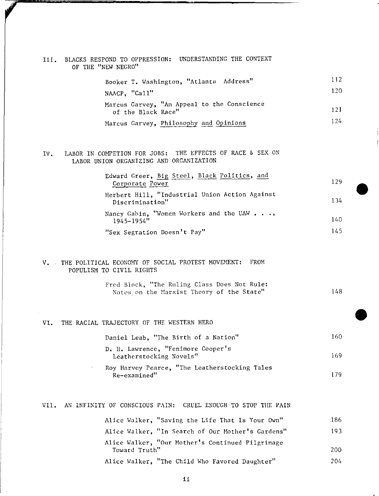|  |                    |  | III. BLACKS RESPOND TO OPPRESSION: UNDERSTANDING THE CONTEXT |  |
|--|--------------------|--|--------------------------------------------------------------|--|
|  | OF THE "NEW NEGRO" |  |                                                              |  |

| Booker T. Washington, "Atlanta Address"                           | 112  |
|-------------------------------------------------------------------|------|
| NAACP, "Call"                                                     | 120. |
| Marcus Garvey, "An Appeal to the Conscience<br>of the Black Race" | 121  |
| Marcus Garvey, Philosophy and Opinions                            | 124. |

### IV. LABOR IN COMPETION FOR JOBS: THE EFFECTS OF RACE & SEX ON LABOR UNION ORGANIZING AND ORGANIZATION

| Edward Greer, Big Steel, Black Politics, and<br>Corporate Power     | 129 |
|---------------------------------------------------------------------|-----|
| Herbert Hill, "Industrial Union Action Against<br>Discrimination"   | 134 |
| Nancy Gabin, "Women Workers and the UAW $\ldots$ ,<br>$1945 - 1954$ | 140 |
| "Sex Segration Doesn't Pay"                                         | 145 |

•

•

#### V. THE POLITICAL ECONOMY OF SOCIAL PROTEST MOVEHENT: FROM POPULISM TO CIVIL RIGHTS

|  | Fred Block, "The Ruling Class Does Not Rule: |     |
|--|----------------------------------------------|-----|
|  | Notes on the Marxist Theory of the State"    | 148 |

#### VI. THE RACIAL TRAJECTORY OF THE WESTERN HERO

|  |  | Daniel Leab, "The Birth of a Nation" | 160. |
|--|--|--------------------------------------|------|
|--|--|--------------------------------------|------|

- **D. H. Lawrence, "Fenimore Cooper's Leatherstocking Novels"**  169
- Roy Harvey Pearce, "The Leatherstocking Tales **Re-examined''**  179

### VII. AN INFINITY OF CONSCIOUS PAIN: CRUEL ENOUGH TO STOP THE PAIN

| Alice Walker, "Saving the Life That Is Your Own"                  | 186. |
|-------------------------------------------------------------------|------|
| Alice Walker, "In Search of Our Mother's Gardens"                 | 193  |
| Alice Walker, "Our Mother's Continued Pilgrimage<br>Toward Truth" | 200. |
| Alice Walker, "The Child Who Favored Daughter"                    | 204  |